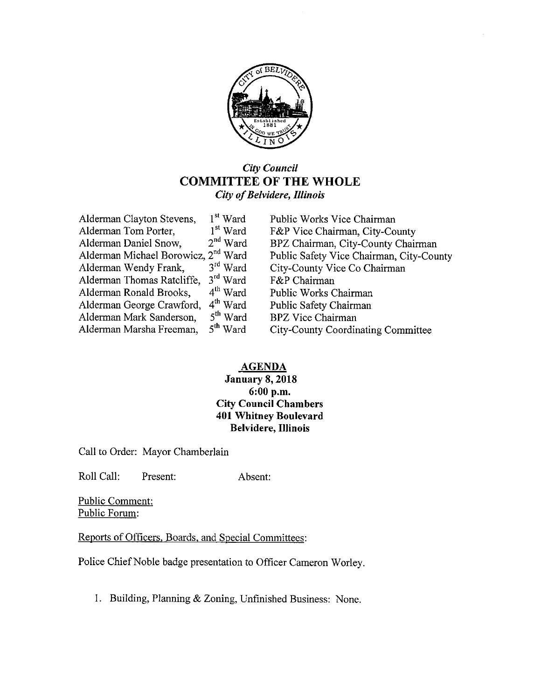

#### City Council COMMITTEE OF THE WHOLE City of Belvidere, Illinois

| Alderman Clayton Stevens,                       | 1 <sup>st</sup> Ward | Public Works Vice Chairman               |
|-------------------------------------------------|----------------------|------------------------------------------|
| Alderman Tom Porter,                            | 1 <sup>st</sup> Ward | F&P Vice Chairman, City-County           |
| Alderman Daniel Snow,                           | $2nd$ Ward           | BPZ Chairman, City-County Chairman       |
| Alderman Michael Borowicz, 2 <sup>nd</sup> Ward |                      | Public Safety Vice Chairman, City-County |
| Alderman Wendy Frank,                           | $3rd$ Ward           | City-County Vice Co Chairman             |
| Alderman Thomas Ratcliffe,                      | 3 <sup>rd</sup> Ward | F&P Chairman                             |
| Alderman Ronald Brooks,                         | $4th$ Ward           | Public Works Chairman                    |
| Alderman George Crawford,                       | $4th$ Ward           | Public Safety Chairman                   |
| Alderman Mark Sanderson,                        | $5th$ Ward           | <b>BPZ</b> Vice Chairman                 |
| Alderman Marsha Freeman,                        | 5 <sup>th</sup> Ward | City-County Coordinating Committee       |
|                                                 |                      |                                          |

#### AGENDA

#### January 8, 2018 6: 00 p. m. City Council Chambers 401 Whitney Boulevard Belvidere, Illinois

Call to Order: Mayor Chamberlain

Roll Call: Present: Absent:

Public Comment: Public Forum:

Reports of Officers, Boards, and Special Committees:

Police Chief Noble badge presentation to Officer Cameron Worley.

I. Building, Planning & Zoning, Unfinished Business: None.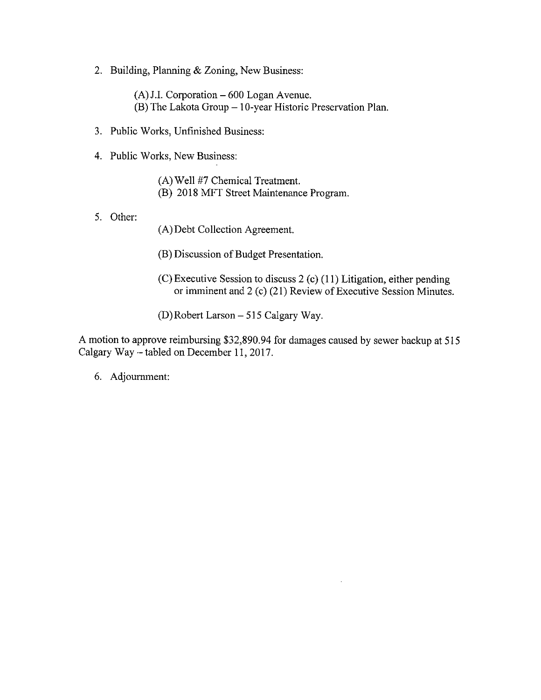2. Building, Planning & Zoning, New Business:

 $(A)$  J.I. Corporation  $-600$  Logan Avenue. B) The Lakota Group— 10- year Historic Preservation Plan.

- 3. Public Works, Unfinished Business:
- 4. Public Works, New Business:
	- A) Well 47 Chemical Treatment.
	- B) 2018 MFT Street Maintenance Program.
- 5. Other:
- A) Debt Collection Agreement.
- B) Discussion of Budget Presentation.
- $(C)$  Executive Session to discuss 2  $(c)$  (11) Litigation, either pending or imminent and 2 (c) (21) Review of Executive Session Minutes.
- D) Robert Larson— 515 Calgary Way.

A motion to approve reimbursing \$32,890.94 for damages caused by sewer backup at 515 Calgary Way— tabled on December 11, 2017.

6. Adjournment: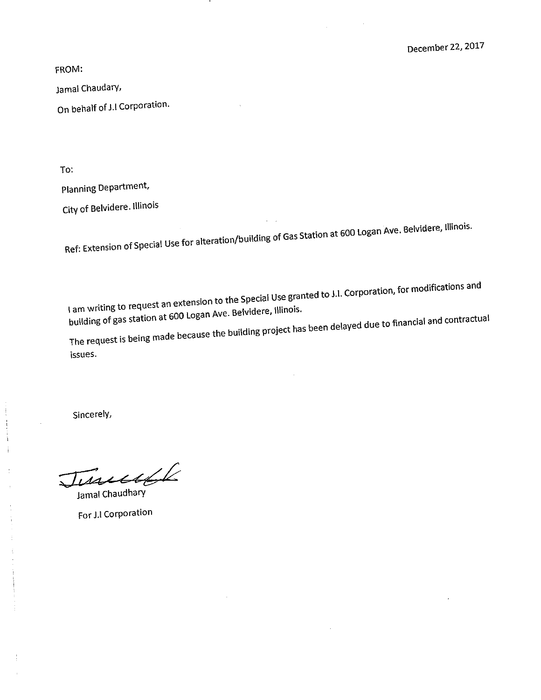FROM:

Jamal Chaudary,

On behalf of J.I Corporation.

To:

Planning Department,

City of Belvidere. Illinois

Ref: Extension of Special Use for alteration/ building of Gas Station at 600 Logan Ave. Belvidere, Illinois.

I am writing to request an extension to the Special Use granted to J.I. Corporation, for modifications and building of gas station at 600 Logan Ave. Belvidere, Illinois.

The request is being made because the building project has been delayed due to financial and contractual Issues.

Sincerely,

ţ

June 216

For J.I Corporation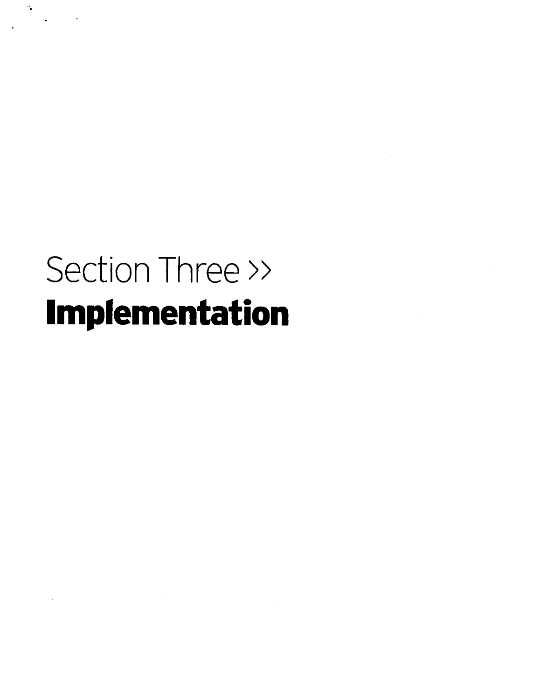## Section Three >> Implementation

 $\label{eq:2.1} \mathcal{L}^{\text{max}}_{\text{max}}(\mathcal{L}^{\text{max}}_{\text{max}}, \mathcal{L}^{\text{max}}_{\text{max}})$ 

 $\mathcal{C}_{\mathbf{q}}$ 

 $\frac{1}{2} \sum_{i=1}^n \frac{1}{2} \sum_{j=1}^n \frac{1}{2} \sum_{j=1}^n \frac{1}{2} \sum_{j=1}^n \frac{1}{2} \sum_{j=1}^n \frac{1}{2} \sum_{j=1}^n \frac{1}{2} \sum_{j=1}^n \frac{1}{2} \sum_{j=1}^n \frac{1}{2} \sum_{j=1}^n \frac{1}{2} \sum_{j=1}^n \frac{1}{2} \sum_{j=1}^n \frac{1}{2} \sum_{j=1}^n \frac{1}{2} \sum_{j=1}^n \frac{1}{2} \sum_{j=$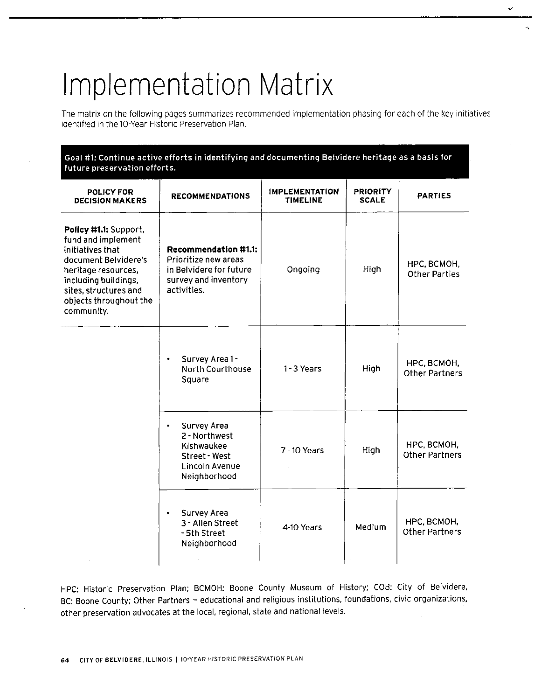### Implementation Matrix

The matrix on the following pages summarizes recommended implementation phasing for each of the key initiatives identified in the 10-Year Historic Preservation Plan.

I

| Goal #1: Continue active efforts in identifying and documenting Beividere heritage as a basis for<br>future preservation efforts.                                                                       |                                                                                                                       |                                   |                                 |                                      |
|---------------------------------------------------------------------------------------------------------------------------------------------------------------------------------------------------------|-----------------------------------------------------------------------------------------------------------------------|-----------------------------------|---------------------------------|--------------------------------------|
| <b>POLICY FOR</b><br><b>DECISION MAKERS</b>                                                                                                                                                             | <b>RECOMMENDATIONS</b>                                                                                                | <b>IMPLEMENTATION</b><br>TIMELINE | <b>PRIORITY</b><br><b>SCALE</b> | <b>PARTIES</b>                       |
| Policy #1.1: Support,<br>fund and implement<br>initiatives that<br>document Belvidere's<br>heritage resources,<br>including buildings,<br>sites, structures and<br>objects throughout the<br>community. | <b>Recommendation #1.1:</b><br>Prioritize new areas<br>in Belvidere for future<br>survey and inventory<br>activities. | Ongoing                           | High                            | HPC, BCMOH,<br><b>Other Parties</b>  |
|                                                                                                                                                                                                         | Survey Area 1-<br>۰<br>North Courthouse<br>Square                                                                     | 1-3 Years                         | High                            | НРС, ВСМОН,<br><b>Other Partners</b> |
|                                                                                                                                                                                                         | Survey Area<br>$\bullet$<br>2 - Northwest<br>Kishwaukee<br>Street - West<br>Lincoln Avenue<br>Neighborhood            | 7 - 10 Years                      | High                            | НРС, ВСМОН,<br><b>Other Partners</b> |
|                                                                                                                                                                                                         | Survey Area<br>3 - Allen Street<br>- 5th Street<br>Neighborhood                                                       | 4-10 Years                        | Medium                          | НРС, ВСМОН,<br><b>Other Partners</b> |

HPC: Historic Preservation Plan; BCMOH: Boone County Museum of History; COB: City of Belvidere, BC: Boone County; Other Partners — educational and religious institutions, foundations, civic organizations, other preservation advocates at the local, regional, state and national levels.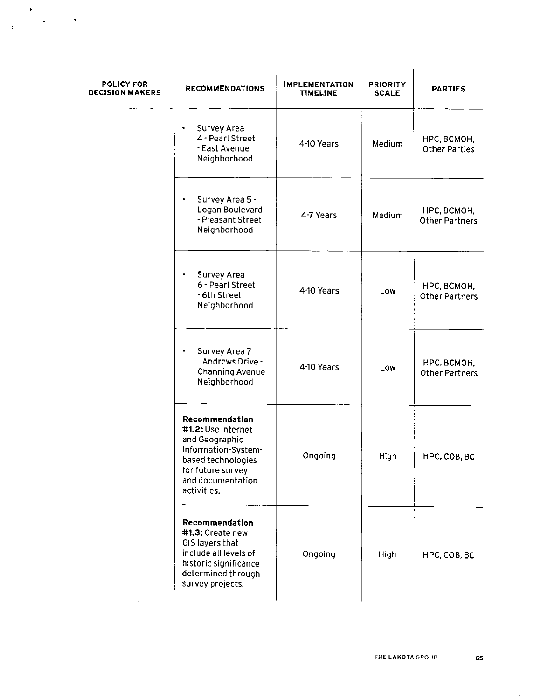| POLICY FOR<br><b>DECISION MAKERS</b> | <b>RECOMMENDATIONS</b>                                                                                                                                       | <b>IMPLEMENTATION</b><br><b>TIMELINE</b> | <b>PRIORITY</b><br><b>SCALE</b> | <b>PARTIES</b>                       |
|--------------------------------------|--------------------------------------------------------------------------------------------------------------------------------------------------------------|------------------------------------------|---------------------------------|--------------------------------------|
|                                      | Survey Area<br>4 - Pearl Street<br>- East Avenue<br>Neighborhood                                                                                             | 4-10 Years                               | Medium                          | НРС, ВСМОН,<br><b>Other Parties</b>  |
|                                      | Survey Area 5 -<br>Logan Boulevard<br>- Pleasant Street<br>Neighborhood                                                                                      | 4-7 Years                                | Medium                          | НРС, ВСМОН,<br><b>Other Partners</b> |
|                                      | Survey Area<br>6 - Pearl Street<br>- 6th Street<br>Neighborhood                                                                                              | 4-10 Years                               | Low                             | HPC, BCMOH,<br><b>Other Partners</b> |
|                                      | Survey Area 7<br>٠<br>- Andrews Drive -<br>Channing Avenue<br>Neighborhood                                                                                   | 4-10 Years                               | Low                             | HPC, BCMOH,<br><b>Other Partners</b> |
|                                      | Recommendation<br>#1.2: Use internet<br>and Geographic<br>Information-System-<br>based technologies<br>for future survey<br>and documentation<br>activities. | Ongoing                                  | High                            | HPC, COB, BC                         |
|                                      | Recommendation<br>#1.3: Create new<br>GIS layers that<br>include all levels of<br>historic significance<br>determined through<br>survey projects.            | Ongoing                                  | High                            | HPC, COB, BC                         |

 $\bar{\mathcal{A}}$ 

į.

 $\ddot{\mathbf{v}}$ 

 $\ddot{\phantom{0}}$ 

 $\bullet$ 

 $\bar{\alpha}$ 

 $\mathcal{A}$ 

 $\bar{z}$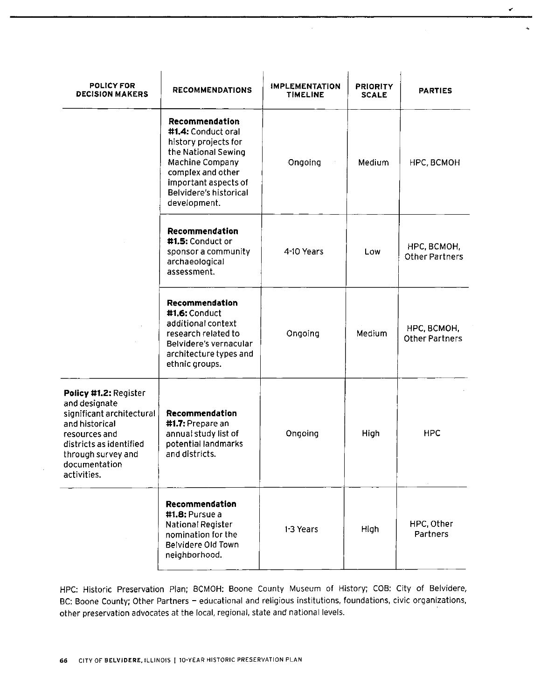| POLICY FOR<br><b>DECISION MAKERS</b>                                                                                                                                                    | <b>RECOMMENDATIONS</b>                                                                                                                                                                        | <b>IMPLEMENTATION</b><br><b>TIMELINE</b> | <b>PRIORITY</b><br><b>SCALE</b> | <b>PARTIES</b>                       |
|-----------------------------------------------------------------------------------------------------------------------------------------------------------------------------------------|-----------------------------------------------------------------------------------------------------------------------------------------------------------------------------------------------|------------------------------------------|---------------------------------|--------------------------------------|
|                                                                                                                                                                                         | Recommendation<br>#1.4: Conduct oral<br>history projects for<br>the National Sewing<br>Machine Company<br>complex and other<br>important aspects of<br>Belvidere's historical<br>development. | Ongoing                                  | Medium                          | HPC, BCMOH                           |
|                                                                                                                                                                                         | Recommendation<br>#1.5: Conduct or<br>sponsor a community<br>archaeological<br>assessment.                                                                                                    | 4-10 Years                               | Low                             | HPC, BCMOH,<br><b>Other Partners</b> |
|                                                                                                                                                                                         | Recommendation<br>#1.6: Conduct<br>additional context<br>research related to<br>Belvidere's vernacular<br>architecture types and<br>ethnic groups.                                            | Ongoing                                  | Medium                          | HPC, BCMOH,<br><b>Other Partners</b> |
| Policy #1.2: Register<br>and designate<br>significant architectural<br>and historical<br>resources and<br>districts as identified<br>through survey and<br>documentation<br>activities. | Recommendation<br>#1.7: Prepare an<br>annual study list of<br>potential landmarks<br>and districts.                                                                                           | Ongoing                                  | High                            | <b>HPC</b>                           |
|                                                                                                                                                                                         | Recommendation<br>$#1.8$ : Pursue a<br>National Register<br>nomination for the<br>Belvidere Old Town<br>neighborhood.                                                                         | 1-3 Years                                | High                            | HPC, Other<br>Partners               |

HPC: Historic Preservation Plan; BCMOH: Boone County Museum of History; COB: City of Belvidere, BC: Boone County; Other Partners - educational and religious institutions, foundations, civic organizations, other preservation advocates at the local, regional, state and national levels.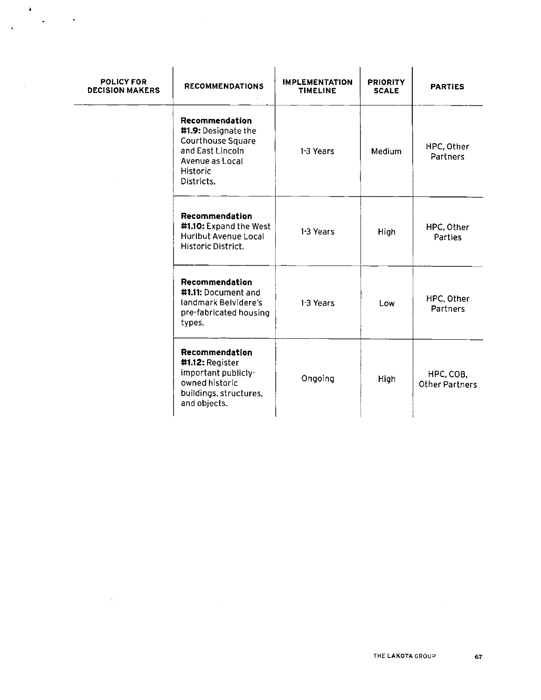| <b>POLICY FOR</b><br><b>DECISION MAKERS</b> | <b>RECOMMENDATIONS</b>                                                                                                      | <b>IMPLEMENTATION</b><br><b>TIMELINE</b> | <b>PRIORITY</b><br><b>SCALE</b> | <b>PARTIES</b>                     |
|---------------------------------------------|-----------------------------------------------------------------------------------------------------------------------------|------------------------------------------|---------------------------------|------------------------------------|
|                                             | Recommendation<br>#1.9: Designate the<br>Courthouse Square<br>and East Lincoln<br>Avenue as Local<br>Historic<br>Districts. | 1-3 Years                                | Medium                          | HPC, Other<br>Partners             |
|                                             | Recommendation<br>#1.10: Expand the West<br>Huribut Avenue Local<br>Historic District.                                      | 1-3 Years                                | High                            | HPC, Other<br>Parties              |
|                                             | Recommendation<br>#1.11: Document and<br>landmark Belvidere's<br>pre-fabricated housing<br>types.                           | 1-3 Years                                | Low                             | HPC, Other<br>Partners             |
|                                             | Recommendation<br>#1.12: Register<br>important publicly-<br>owned historic<br>buildings, structures.<br>and objects.        | Ongoing                                  | High                            | HPC, COB,<br><b>Other Partners</b> |

 $\sim 10^6$ 

 $\ddot{\bullet}$ 

 $\sim 10^{11}$ 

 $\hat{\mathbf{v}}$ 

 $\alpha$  ,  $\alpha$  ,  $\alpha$  ,  $\alpha$ 

 $\mathcal{L}^{\text{max}}_{\text{max}}$  and  $\mathcal{L}^{\text{max}}_{\text{max}}$ 

 $\mathcal{L}^{\text{max}}_{\text{max}}$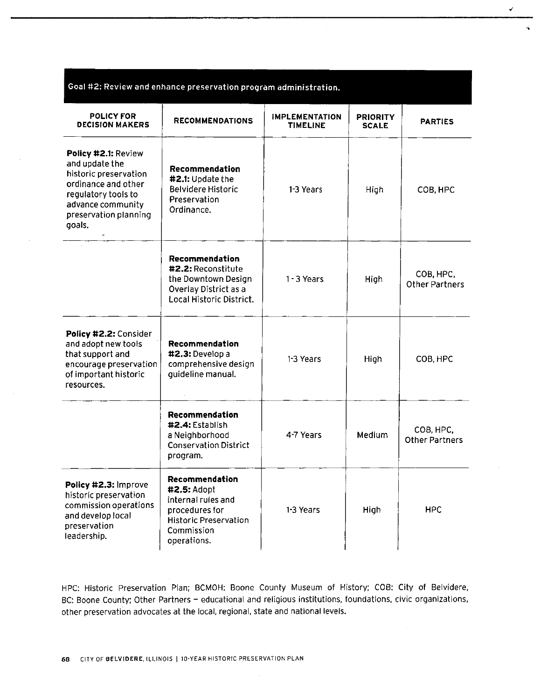| Goal #2: Review and enhance preservation program administration.                                                                                                     |                                                                                                                                    |                                          |                                 |                                    |
|----------------------------------------------------------------------------------------------------------------------------------------------------------------------|------------------------------------------------------------------------------------------------------------------------------------|------------------------------------------|---------------------------------|------------------------------------|
| <b>POLICY FOR</b><br><b>DECISION MAKERS</b>                                                                                                                          | <b>RECOMMENDATIONS</b>                                                                                                             | <b>IMPLEMENTATION</b><br><b>TIMELINE</b> | <b>PRIORITY</b><br><b>SCALE</b> | <b>PARTIES</b>                     |
| Policy #2.1: Review<br>and update the<br>historic preservation<br>ordinance and other<br>regulatory tools to<br>advance community<br>preservation planning<br>goals. | Recommendation<br>#2.1: Update the<br><b>Belvidere Historic</b><br>Preservation<br>Ordinance.                                      | 1-3 Years                                | High                            | COB, HPC                           |
|                                                                                                                                                                      | Recommendation<br>#2.2: Reconstitute<br>the Downtown Design<br>Overlay District as a<br>Local Historic District.                   | $1 - 3$ Years                            | High                            | COB, HPC,<br><b>Other Partners</b> |
| Policy #2.2: Consider<br>and adopt new tools<br>that support and<br>encourage preservation<br>of important historic<br>resources.                                    | Recommendation<br>#2.3: Develop a<br>comprehensive design<br>guideline manual.                                                     | 1-3 Years                                | High                            | COB, HPC                           |
|                                                                                                                                                                      | Recommendation<br>#2.4: Establish<br>a Neighborhood<br><b>Conservation District</b><br>program.                                    | 4-7 Years                                | Medium                          | COB, HPC,<br><b>Other Partners</b> |
| Policy #2.3: Improve<br>historic preservation<br>commission operations<br>and develop local<br>preservation<br>leadership.                                           | Recommendation<br>#2.5: Adopt<br>internal rules and<br>procedures for<br><b>Historic Preservation</b><br>Commission<br>operations. | 1-3 Years                                | High                            | <b>HPC</b>                         |

÷.

HPC: Historic Preservation Plan; BCMOH: Boone County Museum of History; COB: City of Belvidere, BC: Boone County; Other Partners — educational and religious institutions, foundations, civic organizations, other preservation advocates at the local, regional, state and national levels.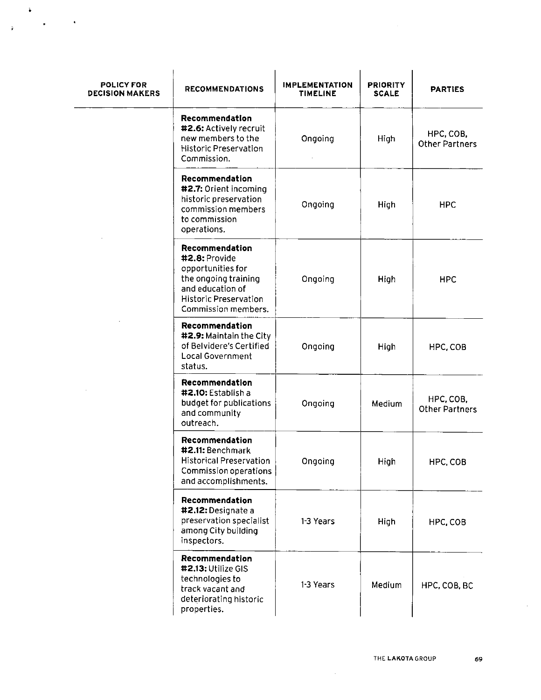| POLICY FOR<br><b>DECISION MAKERS</b> | <b>RECOMMENDATIONS</b>                                                                                                                                  | <b>IMPLEMENTATION</b><br><b>TIMELINE</b> | <b>PRIORITY</b><br><b>SCALE</b> | <b>PARTIES</b>                     |
|--------------------------------------|---------------------------------------------------------------------------------------------------------------------------------------------------------|------------------------------------------|---------------------------------|------------------------------------|
|                                      | Recommendation<br>#2.6: Actively recruit<br>new members to the<br><b>Historic Preservation</b><br>Commission.                                           | Ongoing                                  | High                            | HPC, COB,<br><b>Other Partners</b> |
|                                      | Recommendation<br>#2.7: Orient incoming<br>historic preservation<br>commission members<br>to commission<br>operations.                                  | Ongoing                                  | High                            | <b>HPC</b>                         |
|                                      | Recommendation<br>#2.8: Provide<br>opportunities for<br>the ongoing training<br>and education of<br><b>Historic Preservation</b><br>Commission members. | Ongoing                                  | High                            | <b>HPC</b>                         |
|                                      | Recommendation<br>#2.9: Maintain the City<br>of Belvidere's Certified<br><b>Local Government</b><br>status.                                             | Ongoing                                  | High                            | HPC, COB                           |
|                                      | Recommendation<br>#2.10: Establish a<br>budget for publications<br>and community<br>outreach.                                                           | Ongoing                                  | Medium                          | HPC, COB,<br><b>Other Partners</b> |
|                                      | Recommendation<br>#2.11: Benchmark<br>Historical Preservation<br>Commission operations<br>and accomplishments.                                          | Ongoing                                  | High                            | HPC, COB                           |
|                                      | Recommendation<br>#2.12: Designate a<br>preservation specialist<br>among City building<br>inspectors.                                                   | 1-3 Years                                | High                            | HPC, COB                           |
|                                      | Recommendation<br>#2.13: Utilize GIS<br>technologies to<br>track vacant and<br>deteriorating historic<br>properties.                                    | 1-3 Years                                | Medium                          | HPC, COB, BC                       |

 $\ddot{\bullet}$  $\mathcal{O}(\mathcal{A})$ 

 $\ddot{\mathbf{r}}$ 

 $\cdot$ 

 $\sim 10^{-11}$ 

 $\sim$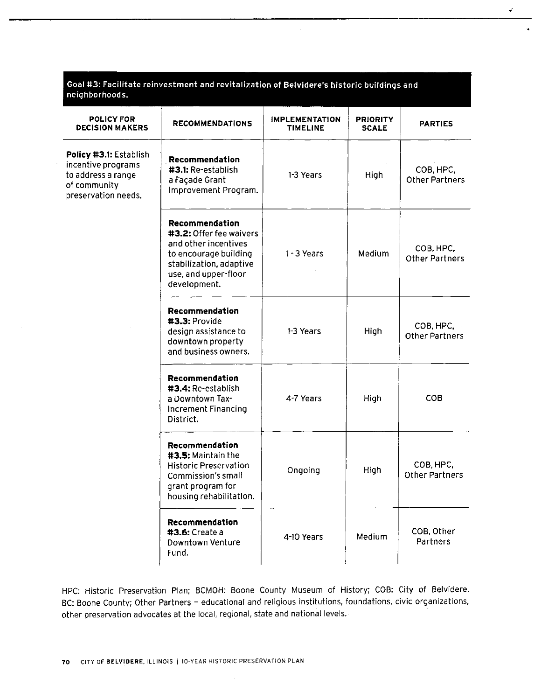| Goal #3: Facilitate reinvestment and revitalization of Belvidere's historic buildings and<br>neighborhoods. |                                                                                                                                                               |                                          |                                 |                                    |
|-------------------------------------------------------------------------------------------------------------|---------------------------------------------------------------------------------------------------------------------------------------------------------------|------------------------------------------|---------------------------------|------------------------------------|
| <b>POLICY FOR</b><br><b>DECISION MAKERS</b>                                                                 | <b>RECOMMENDATIONS</b>                                                                                                                                        | <b>IMPLEMENTATION</b><br><b>TIMELINE</b> | <b>PRIORITY</b><br><b>SCALE</b> | <b>PARTIES</b>                     |
| Policy #3.1: Establish<br>incentive programs<br>to address a range<br>of community<br>preservation needs.   | Recommendation<br>#3.1: Re-establish<br>a Façade Grant<br>Improvement Program.                                                                                | 1-3 Years                                | <b>High</b>                     | COB, HPC,<br><b>Other Partners</b> |
|                                                                                                             | Recommendation<br>#3.2: Offer fee waivers<br>and other incentives<br>to encourage building<br>stabilization, adaptive<br>use, and upper-floor<br>development. | 1-3 Years                                | Medium                          | COB, HPC,<br><b>Other Partners</b> |
|                                                                                                             | Recommendation<br>#3.3: Provide<br>design assistance to<br>downtown property<br>and business owners.                                                          | 1-3 Years                                | High                            | COB, HPC.<br><b>Other Partners</b> |
|                                                                                                             | Recommendation<br>#3.4: Re-establish<br>a Downtown Tax-<br><b>Increment Financing</b><br>District.                                                            | 4-7 Years                                | High                            | COB                                |
|                                                                                                             | Recommendation<br>#3.5: Maintain the<br><b>Historic Preservation</b><br>Commission's small<br>grant program for<br>housing rehabilitation.                    | Ongoing                                  | High                            | COB, HPC,<br><b>Other Partners</b> |
|                                                                                                             | Recommendation<br>#3.6: Create a<br>Downtown Venture<br>Fund.                                                                                                 | 4-10 Years                               | Medium                          | COB, Other<br>Partners             |

۷

HPC: Historic Preservation Plan; BCMOH: Boone County Museum of History; COB: City of Belvidere, BC: Boone County; Other Partners - educational and religious institutions, foundations, civic organizations, other preservation advocates at the local, regional, state and national levels.

÷,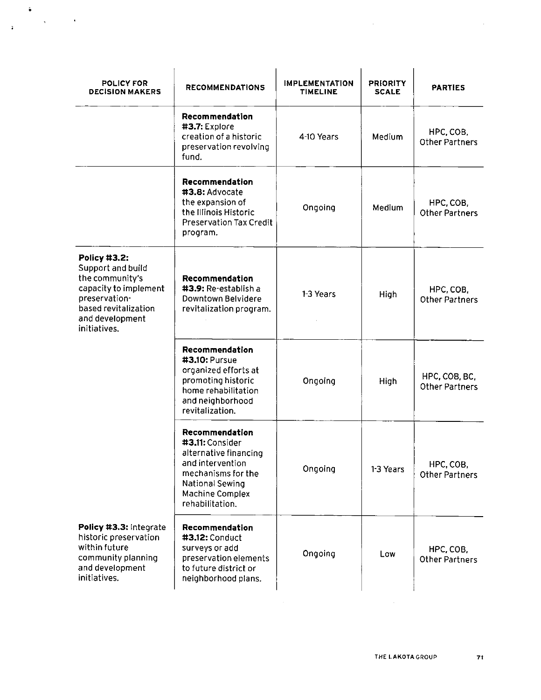| <b>POLICY FOR</b><br><b>DECISION MAKERS</b>                                                                                                               | <b>RECOMMENDATIONS</b>                                                                                                                                               | <b>IMPLEMENTATION</b><br><b>TIMELINE</b> | <b>PRIORITY</b><br><b>SCALE</b> | <b>PARTIES</b>                         |
|-----------------------------------------------------------------------------------------------------------------------------------------------------------|----------------------------------------------------------------------------------------------------------------------------------------------------------------------|------------------------------------------|---------------------------------|----------------------------------------|
|                                                                                                                                                           | Recommendation<br>#3.7: Explore<br>creation of a historic<br>preservation revolving<br>fund.                                                                         | 4-10 Years                               | Medium                          | HPC, COB,<br><b>Other Partners</b>     |
|                                                                                                                                                           | Recommendation<br>#3.8: Advocate<br>the expansion of<br>the Illinois Historic<br><b>Preservation Tax Credit</b><br>program.                                          | Ongoing                                  | Medium                          | HPC, COB,<br><b>Other Partners</b>     |
| Policy #3.2:<br>Support and build<br>the community's<br>capacity to implement<br>preservation-<br>based revitalization<br>and development<br>initiatives. | Recommendation<br>#3.9: Re-establish a<br>Downtown Belvidere<br>revitalization program.                                                                              | 1-3 Years                                | High                            | HPC, COB,<br><b>Other Partners</b>     |
|                                                                                                                                                           | Recommendation<br>#3.10: Pursue<br>organized efforts at<br>promoting historic<br>home rehabilitation<br>and neighborhood<br>revitalization.                          | Ongoing                                  | High                            | HPC, COB, BC,<br><b>Other Partners</b> |
|                                                                                                                                                           | Recommendation<br>#3.11: Consider<br>alternative financing<br>and intervention<br>mechanisms for the<br>National Sewing<br><b>Machine Complex</b><br>rehabilitation. | Ongoing                                  | 1-3 Years                       | HPC, COB,<br><b>Other Partners</b>     |
| Policy #3.3: Integrate<br>historic preservation<br>within future<br>community planning<br>and development<br>initiatives.                                 | Recommendation<br>#3,12: Conduct<br>surveys or add<br>preservation elements<br>to future district or<br>neighborhood plans.                                          | Ongoing                                  | Low                             | HPC, COB,<br><b>Other Partners</b>     |

 $\sim 10$ 

 $\mathcal{A}^{\mathcal{A}}$ 

 $\ddot{\bullet}$ 

 $\ddot{\bullet}$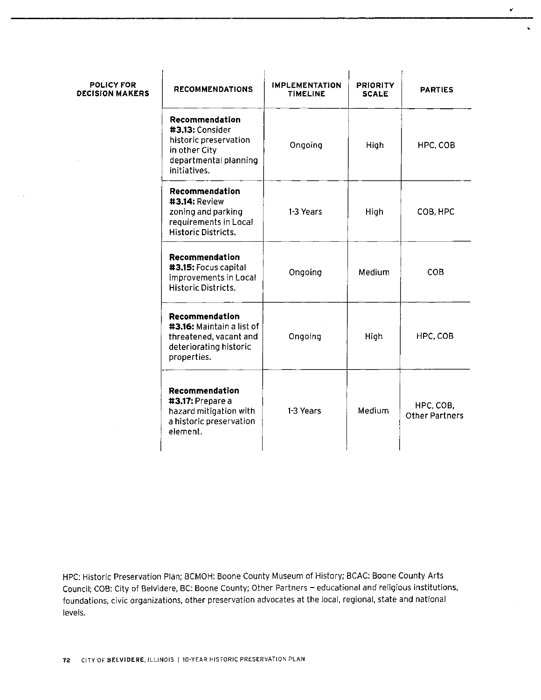| POLICY FOR<br><b>DECISION MAKERS</b> | <b>RECOMMENDATIONS</b>                                                                                               | <b>IMPLEMENTATION</b><br><b>TIMELINE</b> | <b>PRIORITY</b><br><b>SCALE</b> | <b>PARTIES</b>                     |
|--------------------------------------|----------------------------------------------------------------------------------------------------------------------|------------------------------------------|---------------------------------|------------------------------------|
|                                      | Recommendation<br>#3.13: Consider<br>historic preservation<br>in other City<br>departmental planning<br>initiatives. | Ongoing                                  | High                            | HPC, COB                           |
|                                      | Recommendation<br>#3.14: Review<br>zoning and parking<br>requirements in Local<br>Historic Districts.                | 1-3 Years                                | High                            | COB, HPC                           |
|                                      | Recommendation<br>#3.15: Focus capital<br>improvements in Local<br>Historic Districts.                               | Ongoing                                  | Medium                          | <b>COB</b>                         |
|                                      | Recommendation<br>#3.16: Maintain a list of<br>threatened, vacant and<br>deteriorating historic<br>properties.       | Ongoing                                  | High                            | HPC, COB                           |
|                                      | Recommendation<br>#3.17: Prepare a<br>hazard mitigation with<br>a historic preservation<br>element.                  | 1-3 Years                                | Medium                          | HPC, COB.<br><b>Other Partners</b> |

HPC: Historic Preservation Plan; BCMOH: Boone County Museum of History; ECAC: Boone County Arts Council; COB: City of Belvidere, BC: Boone County; Other Partners — educational and religious institutions, foundations, civic organizations, other preservation advocates at the local, regional, state and national levels.

 $\sim$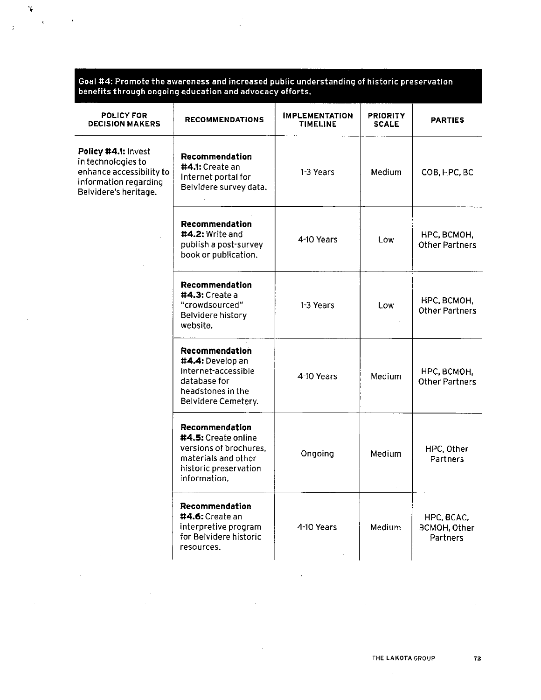Goal #4: Promote the awareness and increased public understanding of historic preservatio benefits through ongoing education and advocacy efforts.

 $\sim$   $_{\star}$ 

 $\widetilde{\bullet}$ 

 $\ddot{i}$ 

 $\mathcal{L}_{\mathcal{A}}$ 

 $\bullet$ 

 $\sim 10^{-10}$ 

| <b>POLICY FOR</b><br><b>DECISION MAKERS</b>                                                                             | <b>RECOMMENDATIONS</b>                                                                                                                 | <b>IMPLEMENTATION</b><br>TIMELINE | <b>PRIORITY</b><br><b>SCALE</b> | <b>PARTIES</b>                         |
|-------------------------------------------------------------------------------------------------------------------------|----------------------------------------------------------------------------------------------------------------------------------------|-----------------------------------|---------------------------------|----------------------------------------|
| Policy #4.1: Invest<br>in technologies to<br>enhance accessibility to<br>information regarding<br>Belvidere's heritage. | Recommendation<br>#4.1: Create an<br>Internet portal for<br>Belvidere survey data.                                                     | 1-3 Years                         | Medium                          | COB, HPC, BC                           |
|                                                                                                                         | Recommendation<br>#4.2: Write and<br>publish a post-survey<br>book or publication.                                                     | 4-10 Years                        | Low                             | НРС, ВСМОН,<br><b>Other Partners</b>   |
|                                                                                                                         | Recommendation<br>#4.3: Create a<br>"crowdsourced"<br>Belvidere history<br>website.                                                    | 1-3 Years                         | Low                             | HPC, BCMOH,<br><b>Other Partners</b>   |
|                                                                                                                         | Recommendation<br>#4.4: Develop an<br>internet-accessible<br>database for<br>headstones in the<br>Belvidere Cemetery.                  | 4-10 Years                        | Medium                          | HPC, BCMOH,<br><b>Other Partners</b>   |
|                                                                                                                         | Recommendation<br><b>#4.5:</b> Create online<br>versions of brochures.<br>materials and other<br>historic preservation<br>information. | Ongoing                           | Medium                          | HPC, Other<br>Partners                 |
|                                                                                                                         | Recommendation<br>#4.6: Create an<br>interpretive program<br>for Belvidere historic<br>resources.                                      | 4-10 Years                        | Medium                          | HPC, BCAC,<br>BCMOH, Other<br>Partners |

 $\sim 10^{11}$ 

 $\hat{A}$ 

 $\sim 10^7$ 

 $\sim$ 

 $\sim 10^{-1}$ 

 $\sim$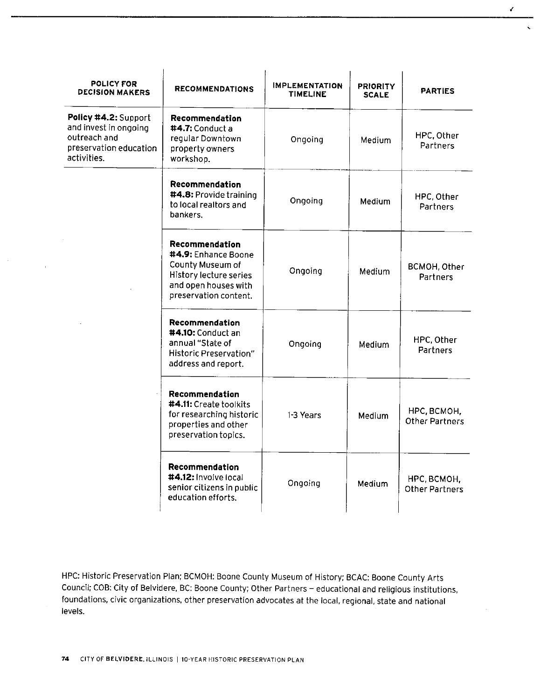| <b>POLICY FOR</b><br><b>DECISION MAKERS</b>                                                            | <b>RECOMMENDATIONS</b>                                                                                                               | <b>IMPLEMENTATION</b><br><b>TIMELINE</b> | <b>PRIORITY</b><br><b>SCALE</b> | <b>PARTIES</b>                       |
|--------------------------------------------------------------------------------------------------------|--------------------------------------------------------------------------------------------------------------------------------------|------------------------------------------|---------------------------------|--------------------------------------|
| Policy #4.2: Support<br>and invest in ongoing<br>outreach and<br>preservation education<br>activities. | Recommendation<br>$#4.7:$ Conduct a<br>regular Downtown<br>property owners<br>workshop.                                              | Ongoing                                  | Medium.                         | HPC, Other<br>Partners               |
|                                                                                                        | Recommendation<br>#4.8: Provide training<br>to local realtors and<br>bankers.                                                        | Ongoing                                  | Medium                          | HPC, Other<br>Partners               |
|                                                                                                        | Recommendation<br>#4.9: Enhance Boone<br>County Museum of<br>History lecture series<br>and open houses with<br>preservation content. | Ongoing                                  | Medium                          | BCMOH, Other<br>Partners             |
|                                                                                                        | Recommendation<br>#4.10: Conduct an<br>annual "State of<br>Historic Preservation"<br>address and report.                             | Ongoing                                  | Medium                          | HPC, Other<br>Partners               |
|                                                                                                        | Recommendation<br>#4.11: Create toolkits<br>for researching historic<br>properties and other<br>preservation topics.                 | 1-3 Years                                | Medium                          | НРС, ВСМОН,<br>Other Partners        |
|                                                                                                        | Recommendation<br>#4.12: Involve local<br>senior citizens in public<br>education efforts.                                            | Ongoing                                  | Medium                          | НРС, ВСМОН,<br><b>Other Partners</b> |

**A** 

 $\mathcal{L}$ 

HPC: Historic Preservation Plan; BCMOH: Boone County Museum of History; BCAC: Boone County Arts Council; COB: City of Belvidere, BC: Boone County; Other Partners— educational and religious institutions, foundations, civic organizations, other preservation advocates at the local, regional, state and national levels.

 $\bar{z}$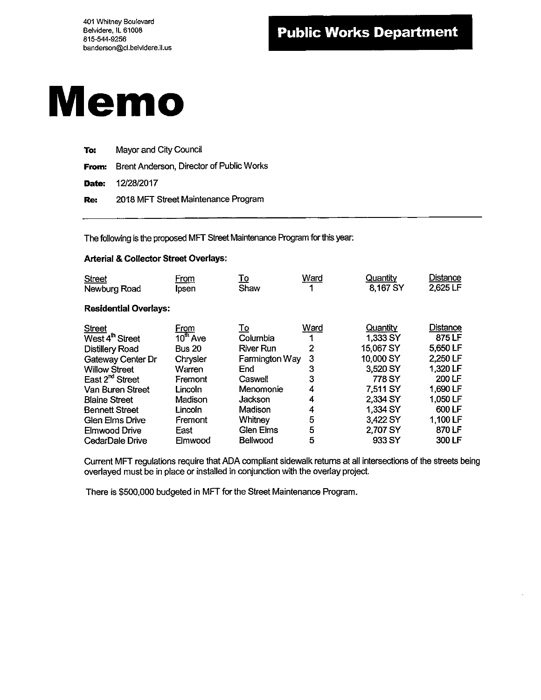

| To: | Mayor and City Council                         |
|-----|------------------------------------------------|
|     | From: Brent Anderson, Director of Public Works |
|     | <b>Date:</b> 12/28/2017                        |
| Re: | 2018 MFT Street Maintenance Program            |

The following is the proposed MFT Street Maintenance Program for this year:

#### Arterial& Collector Street Overlays:

| <b>Street</b>                | From       | <u>To</u>        | Ward | Quantity  | <b>Distance</b> |
|------------------------------|------------|------------------|------|-----------|-----------------|
| Newburg Road                 | Ipsen      | Shaw             | 4    | 8,167 SY  | 2,625 LF        |
| <b>Residential Overlays:</b> |            |                  |      |           |                 |
| <b>Street</b>                | From       | <u>To</u>        | Ward | Quantity  | <b>Distance</b> |
| West 4 <sup>th</sup> Street  | $10th$ Ave | Columbia         |      | 1,333 SY  | 875 LF          |
| <b>Distillery Road</b>       | Bus 20     | <b>River Run</b> | 2    | 15,067 SY | 5,650 LF        |
| Gateway Center Dr            | Chrysler   | Farmington Way   | 3    | 10,000 SY | 2,250 LF        |
| <b>Willow Street</b>         | Warren     | End              | 3    | 3,520 SY  | 1,320 LF        |
| East 2 <sup>nd</sup> Street  | Fremont    | Caswell          | 3    | 778 SY    | 200 LF          |
| Van Buren Street             | Lincoln    | Menomonie        | 4    | 7,511 SY  | 1,690 LF        |
| <b>Blaine Street</b>         | Madison    | Jackson          | 4    | 2,334 SY  | 1,050 LF        |
| <b>Bennett Street</b>        | Lincoln    | Madison          | 4    | 1,334 SY  | 600 LF          |
| <b>Glen Elms Drive</b>       | Fremont    | Whitney          | 5    | 3,422 SY  | 1,100 LF        |
| Elmwood Drive                | East       | Glen Elms        | 5    | 2,707 SY  | 870 LF          |
| CedarDale Drive              | Elmwood    | Bellwood         | 5    | 933 SY    | 300 LF          |

Current MFT regulations require that ADA compliant sidewalk returns at all intersections of the streets being overlayed must be in place or installed in conjunction with the overlay project.

There is \$500,000 budgeted in MFT for the Street Maintenance Program.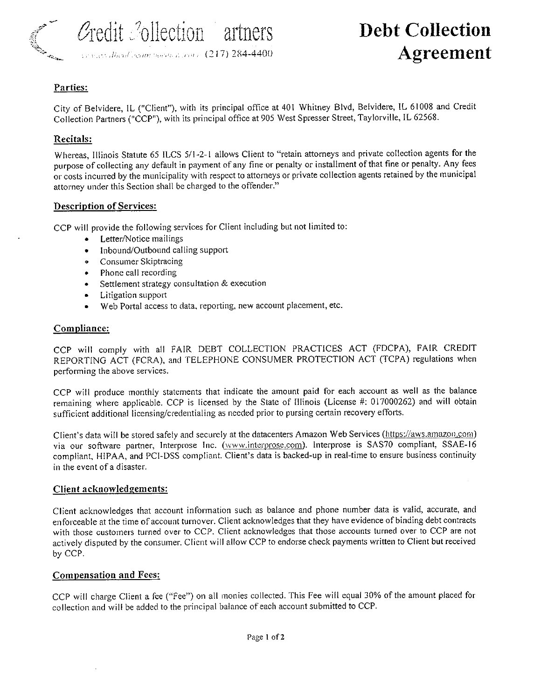

 $\mathcal{O}_\text{redit} \mathcal{O}_\text{o}$ llection artners Debt Collection

# 1 1  $10^{17}$  284-4400  $\AA green$

#### Parties:

City of Belvidere, IL ("Client"), with its principal office at 401 Whitney Blvd, Belvidere, IL 61008 and Credit Collection Partners(" CCP"), with its principal office at 905 West Spresser Street, Taylorville, IL 62568.

#### Recitals:

Whereas, Illinois Statute 65 ILCS 5/1-2-1 allows Client to "retain attorneys and private collection agents for the purpose of collecting any default in payment of any fine or penalty or installment of that fine or penalty. Any fees or costs incurred by the municipality with respect to attorneys or private collection agents retained by the municipal attorney under this Section shall be charged to the offender."

#### Description of Services:

CCP will provide the following services for Client including but not limited to:

- Letter/Notice mailings  $\bullet$
- Inbound/ Outbound calling support  $\bullet$
- Consumer Skiptracing  $\bullet$
- Phone call recording  $\bullet$
- Settlement strategy consultation & execution  $\bullet$  .
- $\bullet$ Litigation support
- Web Portal access to data, reporting, new account placement, etc.  $\bullet$

#### Compliance:

CCP will comply with all FAIR DEBT COLLECTION PRACTICES ACT (FDCPA), FAIR CREDIT REPORTING ACT (FCRA), and TELEPHONE CONSUMER PROTECTION ACT (TCPA) regulations when performing the above services.

CCP will produce monthly statements that indicate the amount paid for each account as well as the balance remaining where applicable. CCP is licensed by the State of Illinois ( License #: 017000262) and will obtain sufficient additional licensing/credentialing as needed prior to pursing certain recovery efforts.

Client's data will be stored safely and securely at the datacenters Amazon Web Services (https://aws.amazon.com) via our software partner, Interprose Inc. (www.interprose.com). Interprose is SAS70 compliant, SSAE-16 compliant, HIPAA, and PCI-DSS compliant. Client's data is backed-up in real-time to ensure business continuity in the event of <sup>a</sup> disaster.

#### Client acknowledgements:

Client acknowledges that account information such as balance and phone number data is valid, accurate, and enforceable at the time of account turnover. Client acknowledges that they have evidence of binding debt contracts with those customers turned over to CCP. Client acknowledges that those accounts turned over to CCP are not actively disputed by the consumer. Client will allow CCP to endorse check payments written to Client but received by CCP.

#### Compensation and Fees:

CCP will charge Client <sup>a</sup> fee (" Fee") on all monies collected. This Fee will equal 30% of the amount placed for collection and will be added to the principal balance of each account submitted to CCP.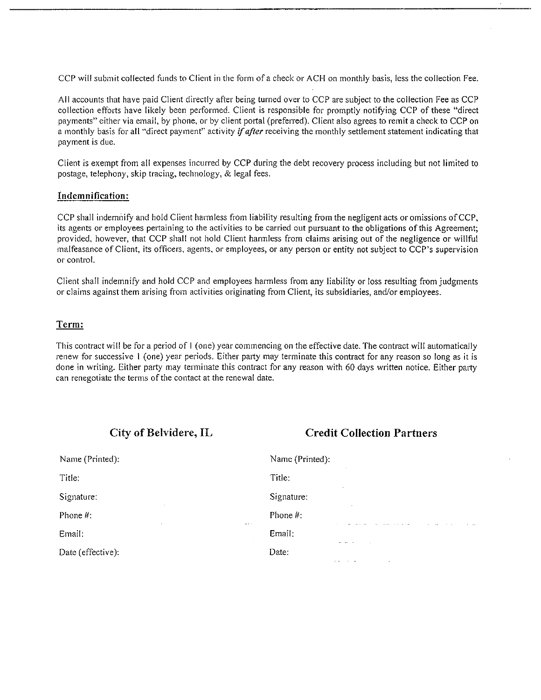CCP will submit collected funds to Client in the form of a check or ACH on monthly basis, less the collection Fee.

All accounts that have paid Client directly after being turned over to CCP are subject to the collection Fee as CCP collection efforts have likely been performed. Client is responsible for promptly notifying CCP of these " direct payments" either via email, by phone, or by client portal ( preferred). Client also agrees to remit a check to CCP on a monthly basis for all "direct payment" activity if after receiving the monthly settlement statement indicating that payment is due.

Client is exempt from all expenses incurred by CCP during the debt recovery process including but not limited to postage, telephony, skip tracing, technology,& legal fees.

#### Indemnification:

CCP shall indemnify and hold Client harmless from liability resulting from the negligent acts or omissions of CCP, its agents or employees pertaining to the activities to be carried out pursuant to the obligations of this Agreement; provided, however, that CCP shall not hold Client harmless from claims arising out of the negligence or willful malfeasance of Client, its officers, agents, or employees, or any person or entity not subject to CCP's supervision or control.

Client shall indemnify and hold CCP and employees harmless from any liability or loss resulting from judgments or claims against them arising from activities originating from Client, its subsidiaries, and/or employees.

#### Term:

This contract will be for <sup>a</sup> period of I ( one) year commencing on the effective date. The contract will automatically renew for successive 1 ( one) year periods. Either party may terminate this contract for any reason so long as it is done in writing. Either party may terminate this contract for any reason with 60 days written notice. Either party can renegotiate the terms of the contact at the renewal date.

#### City of Belvidere, IL Credit Collection Partners

| Name (Printed):                     | Name (Printed):<br>$\sim$                                         |
|-------------------------------------|-------------------------------------------------------------------|
| Title:                              | Title:                                                            |
| Signature:<br>х.                    | Signature:<br>$\sim$                                              |
| Phone #:<br>$\alpha$ , and $\alpha$ | Phone #:<br><b>Contractor</b><br>$\sim$ $ \sim$                   |
| Email:<br><b>SALE</b>               | Email:<br>August 2010                                             |
| Date (effective).                   | Date:<br>$\ddot{\phantom{0}}$<br>$\cdots$<br>$\ddot{\phantom{1}}$ |